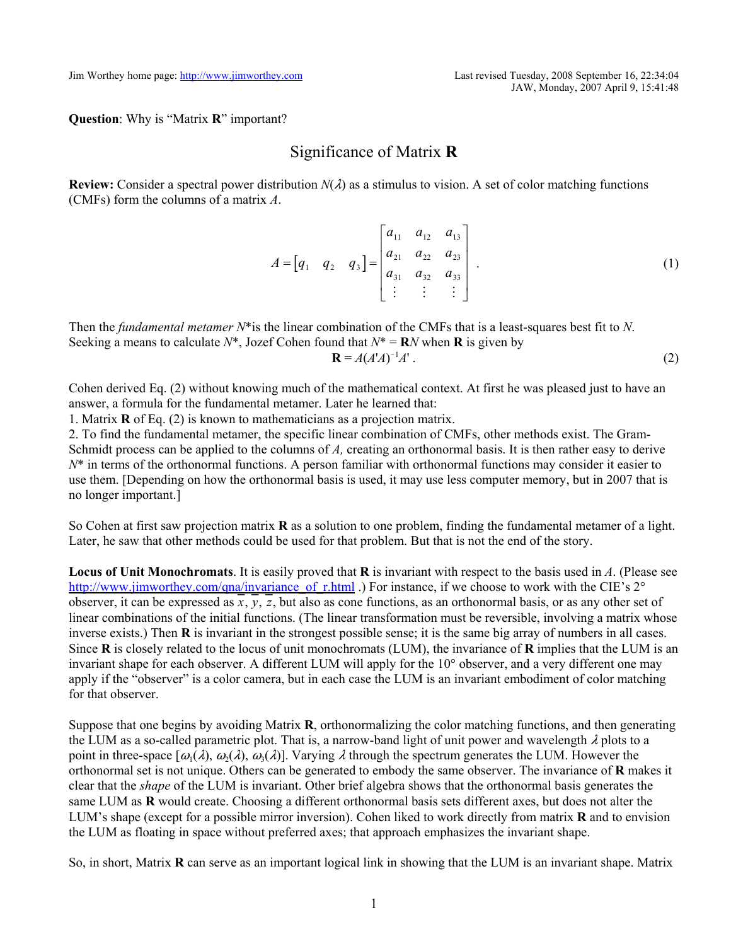**Question**: Why is "Matrix **R**" important?

## Significance of Matrix **R**

**Review:** Consider a spectral power distribution  $N(\lambda)$  as a stimulus to vision. A set of color matching functions (CMFs) form the columns of a matrix *A*.

$$
A = \begin{bmatrix} q_1 & q_2 & q_3 \end{bmatrix} = \begin{bmatrix} a_{11} & a_{12} & a_{13} \\ a_{21} & a_{22} & a_{23} \\ a_{31} & a_{32} & a_{33} \\ \vdots & \vdots & \vdots \end{bmatrix} . \tag{1}
$$

Then the *fundamental metamer N*\*is the linear combination of the CMFs that is a least-squares best fit to *N*. Seeking a means to calculate  $N^*$ , Jozef Cohen found that  $N^* = \mathbb{R}N$  when **R** is given by **R** = *A*(*A*'*A*)  $-1$ 

$$
=A(A'A)^{-1}A' \tag{2}
$$

Cohen derived Eq. (2) without knowing much of the mathematical context. At first he was pleased just to have an answer, a formula for the fundamental metamer. Later he learned that:

1. Matrix **R** of Eq. (2) is known to mathematicians as a projection matrix.

2. To find the fundamental metamer, the specific linear combination of CMFs, other methods exist. The Gram-Schmidt process can be applied to the columns of A, creating an orthonormal basis. It is then rather easy to derive *N*\* in terms of the orthonormal functions. A person familiar with orthonormal functions may consider it easier to use them. [Depending on how the orthonormal basis is used, it may use less computer memory, but in 2007 that is no longer important.]

So Cohen at first saw projection matrix **R** as a solution to one problem, finding the fundamental metamer of a light. Later, he saw that other methods could be used for that problem. But that is not the end of the story.

**Locus of Unit Monochromats**. It is easily proved that **R** is invariant with respect to the basis used in *A*. (Please see http://www.jimworthey.com/qna/invariance\_of\_r.html .) For instance, if we choose to work with the CIE's  $2^\circ$ observer, it can be expressed as  $x, y, z$ , but also as cone functions, as an orthonormal basis, or as any other set of linear combinations of the initial functions. (The linear transformation must be reversible, involving a matrix whose inverse exists.) Then **R** is invariant in the strongest possible sense; it is the same big array of numbers in all cases. Since **R** is closely related to the locus of unit monochromats (LUM), the invariance of **R** implies that the LUM is an invariant shape for each observer. A different LUM will apply for the 10° observer, and a very different one may apply if the "observer" is a color camera, but in each case the LUM is an invariant embodiment of color matching for that observer.

Suppose that one begins by avoiding Matrix **R**, orthonormalizing the color matching functions, and then generating the LUM as a so-called parametric plot. That is, a narrow-band light of unit power and wavelength  $\lambda$  plots to a point in three-space  $[\omega_1(\lambda), \omega_2(\lambda), \omega_3(\lambda)]$ . Varying  $\lambda$  through the spectrum generates the LUM. However the orthonormal set is not unique. Others can be generated to embody the same observer. The invariance of **R** makes it clear that the *shape* of the LUM is invariant. Other brief algebra shows that the orthonormal basis generates the same LUM as **R** would create. Choosing a different orthonormal basis sets different axes, but does not alter the LUM's shape (except for a possible mirror inversion). Cohen liked to work directly from matrix **R** and to envision the LUM as floating in space without preferred axes; that approach emphasizes the invariant shape.

So, in short, Matrix **R** can serve as an important logical link in showing that the LUM is an invariant shape. Matrix